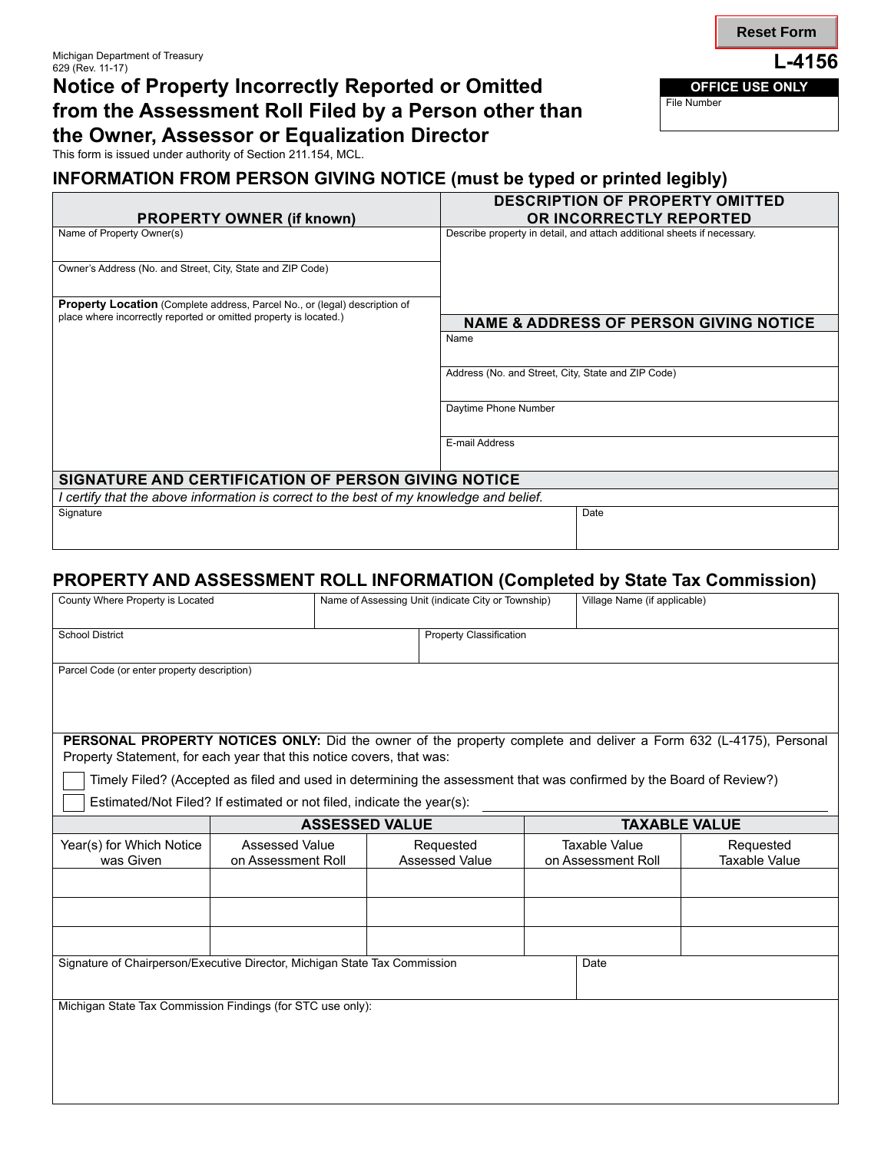## Notice of Property Incorrectly Reported or Omitted **Contract OFFICE USE ONLY** from the Assessment Roll Filed by a Person other than **the Owner, Assessor or Equalization Director**

This form is issued under authority of Section 211.154, MCL.

## **INFORMATION FROM PERSON GIVING NOTICE (must be typed or printed legibly)**

|                                                                                         | <b>DESCRIPTION OF PROPERTY OMITTED</b>                                  |  |  |  |  |
|-----------------------------------------------------------------------------------------|-------------------------------------------------------------------------|--|--|--|--|
| <b>PROPERTY OWNER (if known)</b>                                                        | OR INCORRECTLY REPORTED                                                 |  |  |  |  |
| Name of Property Owner(s)                                                               | Describe property in detail, and attach additional sheets if necessary. |  |  |  |  |
| Owner's Address (No. and Street, City, State and ZIP Code)                              |                                                                         |  |  |  |  |
| Property Location (Complete address, Parcel No., or (legal) description of              |                                                                         |  |  |  |  |
| place where incorrectly reported or omitted property is located.)                       | <b>NAME &amp; ADDRESS OF PERSON GIVING NOTICE</b>                       |  |  |  |  |
|                                                                                         | Name                                                                    |  |  |  |  |
|                                                                                         | Address (No. and Street, City, State and ZIP Code)                      |  |  |  |  |
|                                                                                         | Daytime Phone Number                                                    |  |  |  |  |
|                                                                                         | E-mail Address                                                          |  |  |  |  |
| SIGNATURE AND CERTIFICATION OF PERSON GIVING NOTICE                                     |                                                                         |  |  |  |  |
| I certify that the above information is correct to the best of my knowledge and belief. |                                                                         |  |  |  |  |
| Signature                                                                               | Date                                                                    |  |  |  |  |
|                                                                                         |                                                                         |  |  |  |  |

## **PROPERTY AND ASSESSMENT ROLL INFORMATION (Completed by State Tax Commission)**

| County Where Property is Located                                                                                                                                                         |  | Village Name (if applicable)                                                                              |                             |                                                                                      |                                                                                                                                                                           |  |
|------------------------------------------------------------------------------------------------------------------------------------------------------------------------------------------|--|-----------------------------------------------------------------------------------------------------------|-----------------------------|--------------------------------------------------------------------------------------|---------------------------------------------------------------------------------------------------------------------------------------------------------------------------|--|
|                                                                                                                                                                                          |  |                                                                                                           |                             |                                                                                      |                                                                                                                                                                           |  |
| Parcel Code (or enter property description)                                                                                                                                              |  |                                                                                                           |                             |                                                                                      |                                                                                                                                                                           |  |
| PERSONAL PROPERTY NOTICES ONLY: Did the owner of the property complete and deliver a Form 632 (L-4175), Personal<br>Property Statement, for each year that this notice covers, that was: |  |                                                                                                           |                             |                                                                                      |                                                                                                                                                                           |  |
| Estimated/Not Filed? If estimated or not filed, indicate the year(s):                                                                                                                    |  |                                                                                                           |                             |                                                                                      |                                                                                                                                                                           |  |
| <b>ASSESSED VALUE</b>                                                                                                                                                                    |  | <b>TAXABLE VALUE</b>                                                                                      |                             |                                                                                      |                                                                                                                                                                           |  |
|                                                                                                                                                                                          |  |                                                                                                           |                             |                                                                                      | Requested<br><b>Taxable Value</b>                                                                                                                                         |  |
|                                                                                                                                                                                          |  |                                                                                                           |                             |                                                                                      |                                                                                                                                                                           |  |
|                                                                                                                                                                                          |  |                                                                                                           |                             |                                                                                      |                                                                                                                                                                           |  |
|                                                                                                                                                                                          |  |                                                                                                           |                             |                                                                                      |                                                                                                                                                                           |  |
| Signature of Chairperson/Executive Director, Michigan State Tax Commission                                                                                                               |  |                                                                                                           |                             |                                                                                      |                                                                                                                                                                           |  |
|                                                                                                                                                                                          |  |                                                                                                           |                             |                                                                                      |                                                                                                                                                                           |  |
|                                                                                                                                                                                          |  | <b>Assessed Value</b><br>on Assessment Roll<br>Michigan State Tax Commission Findings (for STC use only): | Requested<br>Assessed Value | Name of Assessing Unit (indicate City or Township)<br><b>Property Classification</b> | Timely Filed? (Accepted as filed and used in determining the assessment that was confirmed by the Board of Review?)<br><b>Taxable Value</b><br>on Assessment Roll<br>Date |  |

**Reset Form**